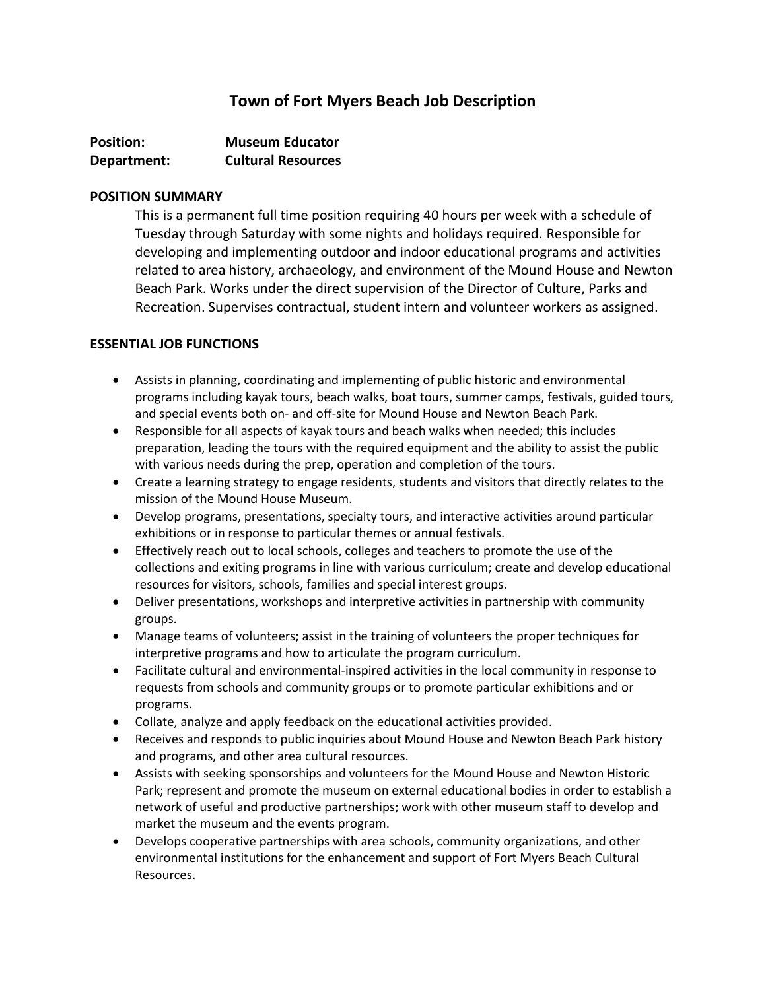# **Town of Fort Myers Beach Job Description**

| <b>Position:</b> | <b>Museum Educator</b>    |
|------------------|---------------------------|
| Department:      | <b>Cultural Resources</b> |

#### **POSITION SUMMARY**

This is a permanent full time position requiring 40 hours per week with a schedule of Tuesday through Saturday with some nights and holidays required. Responsible for developing and implementing outdoor and indoor educational programs and activities related to area history, archaeology, and environment of the Mound House and Newton Beach Park. Works under the direct supervision of the Director of Culture, Parks and Recreation. Supervises contractual, student intern and volunteer workers as assigned.

# **ESSENTIAL JOB FUNCTIONS**

- Assists in planning, coordinating and implementing of public historic and environmental programs including kayak tours, beach walks, boat tours, summer camps, festivals, guided tours, and special events both on- and off-site for Mound House and Newton Beach Park.
- Responsible for all aspects of kayak tours and beach walks when needed; this includes preparation, leading the tours with the required equipment and the ability to assist the public with various needs during the prep, operation and completion of the tours.
- Create a learning strategy to engage residents, students and visitors that directly relates to the mission of the Mound House Museum.
- Develop programs, presentations, specialty tours, and interactive activities around particular exhibitions or in response to particular themes or annual festivals.
- Effectively reach out to local schools, colleges and teachers to promote the use of the collections and exiting programs in line with various curriculum; create and develop educational resources for visitors, schools, families and special interest groups.
- Deliver presentations, workshops and interpretive activities in partnership with community groups.
- Manage teams of volunteers; assist in the training of volunteers the proper techniques for interpretive programs and how to articulate the program curriculum.
- Facilitate cultural and environmental-inspired activities in the local community in response to requests from schools and community groups or to promote particular exhibitions and or programs.
- Collate, analyze and apply feedback on the educational activities provided.
- Receives and responds to public inquiries about Mound House and Newton Beach Park history and programs, and other area cultural resources.
- Assists with seeking sponsorships and volunteers for the Mound House and Newton Historic Park; represent and promote the museum on external educational bodies in order to establish a network of useful and productive partnerships; work with other museum staff to develop and market the museum and the events program.
- Develops cooperative partnerships with area schools, community organizations, and other environmental institutions for the enhancement and support of Fort Myers Beach Cultural Resources.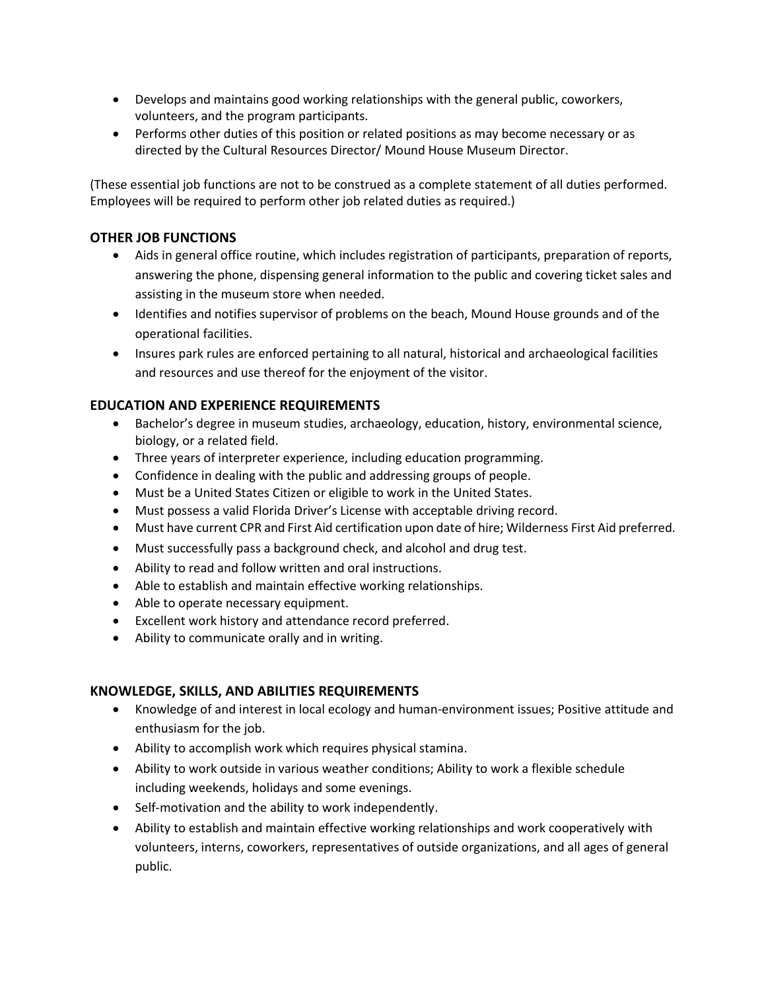- Develops and maintains good working relationships with the general public, coworkers, volunteers, and the program participants.
- Performs other duties of this position or related positions as may become necessary or as directed by the Cultural Resources Director/ Mound House Museum Director.

(These essential job functions are not to be construed as a complete statement of all duties performed. Employees will be required to perform other job related duties as required.)

## **OTHER JOB FUNCTIONS**

- Aids in general office routine, which includes registration of participants, preparation of reports, answering the phone, dispensing general information to the public and covering ticket sales and assisting in the museum store when needed.
- Identifies and notifies supervisor of problems on the beach, Mound House grounds and of the operational facilities.
- Insures park rules are enforced pertaining to all natural, historical and archaeological facilities and resources and use thereof for the enjoyment of the visitor.

### **EDUCATION AND EXPERIENCE REQUIREMENTS**

- Bachelor's degree in museum studies, archaeology, education, history, environmental science, biology, or a related field.
- Three years of interpreter experience, including education programming.
- Confidence in dealing with the public and addressing groups of people.
- Must be a United States Citizen or eligible to work in the United States.
- Must possess a valid Florida Driver's License with acceptable driving record.
- Must have current CPR and First Aid certification upon date of hire; Wilderness First Aid preferred.
- Must successfully pass a background check, and alcohol and drug test.
- Ability to read and follow written and oral instructions.
- Able to establish and maintain effective working relationships.
- Able to operate necessary equipment.
- Excellent work history and attendance record preferred.
- Ability to communicate orally and in writing.

#### **KNOWLEDGE, SKILLS, AND ABILITIES REQUIREMENTS**

- Knowledge of and interest in local ecology and human-environment issues; Positive attitude and enthusiasm for the job.
- Ability to accomplish work which requires physical stamina.
- Ability to work outside in various weather conditions; Ability to work a flexible schedule including weekends, holidays and some evenings.
- Self-motivation and the ability to work independently.
- Ability to establish and maintain effective working relationships and work cooperatively with volunteers, interns, coworkers, representatives of outside organizations, and all ages of general public.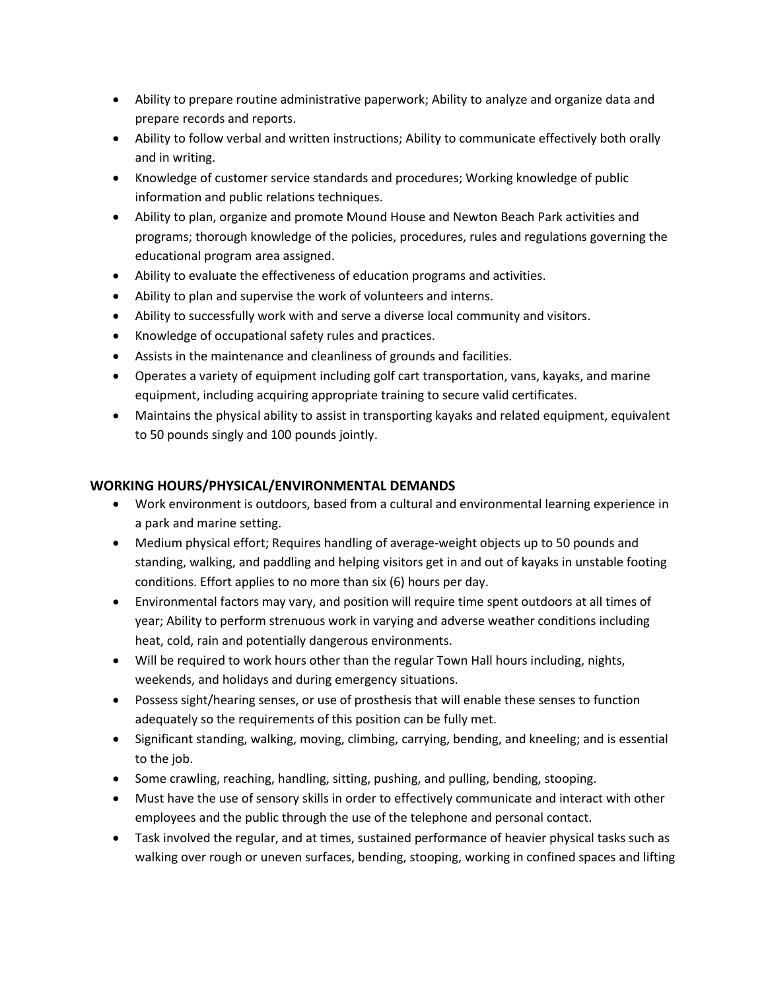- Ability to prepare routine administrative paperwork; Ability to analyze and organize data and prepare records and reports.
- Ability to follow verbal and written instructions; Ability to communicate effectively both orally and in writing.
- Knowledge of customer service standards and procedures; Working knowledge of public information and public relations techniques.
- Ability to plan, organize and promote Mound House and Newton Beach Park activities and programs; thorough knowledge of the policies, procedures, rules and regulations governing the educational program area assigned.
- Ability to evaluate the effectiveness of education programs and activities.
- Ability to plan and supervise the work of volunteers and interns.
- Ability to successfully work with and serve a diverse local community and visitors.
- Knowledge of occupational safety rules and practices.
- Assists in the maintenance and cleanliness of grounds and facilities.
- Operates a variety of equipment including golf cart transportation, vans, kayaks, and marine equipment, including acquiring appropriate training to secure valid certificates.
- Maintains the physical ability to assist in transporting kayaks and related equipment, equivalent to 50 pounds singly and 100 pounds jointly.

# **WORKING HOURS/PHYSICAL/ENVIRONMENTAL DEMANDS**

- Work environment is outdoors, based from a cultural and environmental learning experience in a park and marine setting.
- Medium physical effort; Requires handling of average-weight objects up to 50 pounds and standing, walking, and paddling and helping visitors get in and out of kayaks in unstable footing conditions. Effort applies to no more than six (6) hours per day.
- Environmental factors may vary, and position will require time spent outdoors at all times of year; Ability to perform strenuous work in varying and adverse weather conditions including heat, cold, rain and potentially dangerous environments.
- Will be required to work hours other than the regular Town Hall hours including, nights, weekends, and holidays and during emergency situations.
- Possess sight/hearing senses, or use of prosthesis that will enable these senses to function adequately so the requirements of this position can be fully met.
- Significant standing, walking, moving, climbing, carrying, bending, and kneeling; and is essential to the job.
- Some crawling, reaching, handling, sitting, pushing, and pulling, bending, stooping.
- Must have the use of sensory skills in order to effectively communicate and interact with other employees and the public through the use of the telephone and personal contact.
- Task involved the regular, and at times, sustained performance of heavier physical tasks such as walking over rough or uneven surfaces, bending, stooping, working in confined spaces and lifting